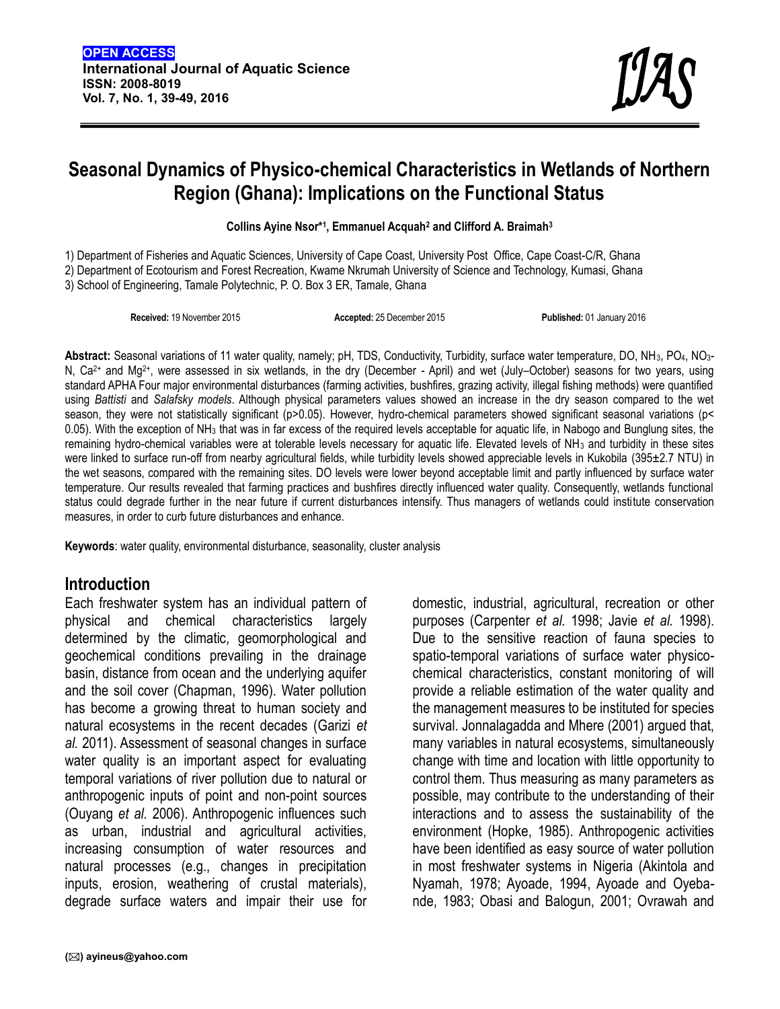# **Seasonal Dynamics of Physico-chemical Characteristics in Wetlands of Northern Region (Ghana): Implications on the Functional Status**

**Collins Ayine Nsor\*<sup>1</sup> , Emmanuel Acquah<sup>2</sup> and Clifford A. Braimah<sup>3</sup>**

1) Department of Fisheries and Aquatic Sciences, University of Cape Coast, University Post Office, Cape Coast-C/R, Ghana 2) Department of Ecotourism and Forest Recreation, Kwame Nkrumah University of Science and Technology, Kumasi, Ghana 3) School of Engineering, Tamale Polytechnic, P. O. Box 3 ER, Tamale, Ghana

**Received:** 19 November 2015 **Accepted:** 25 December 2015 **Published:** 01 January 2016

**Abstract:** Seasonal variations of 11 water quality, namely; pH, TDS, Conductivity, Turbidity, surface water temperature, DO, NH3, PO4, NO3- N, Ca<sup>2+</sup> and Mg<sup>2+</sup>, were assessed in six wetlands, in the dry (December - April) and wet (July–October) seasons for two years, using standard APHA Four major environmental disturbances (farming activities, bushfires, grazing activity, illegal fishing methods) were quantified using *Battisti* and *Salafsky models*. Although physical parameters values showed an increase in the dry season compared to the wet season, they were not statistically significant (p*>*0.05). However, hydro-chemical parameters showed significant seasonal variations (p< 0.05). With the exception of NH3 that was in far excess of the required levels acceptable for aquatic life, in Nabogo and Bunglung sites, the remaining hydro-chemical variables were at tolerable levels necessary for aquatic life. Elevated levels of NH3 and turbidity in these sites were linked to surface run-off from nearby agricultural fields, while turbidity levels showed appreciable levels in Kukobila (395±2.7 NTU) in the wet seasons, compared with the remaining sites. DO levels were lower beyond acceptable limit and partly influenced by surface water temperature. Our results revealed that farming practices and bushfires directly influenced water quality. Consequently, wetlands functional status could degrade further in the near future if current disturbances intensify. Thus managers of wetlands could institute conservation measures, in order to curb future disturbances and enhance.

**Keywords**: water quality, environmental disturbance, seasonality, cluster analysis

### **Introduction**

Each freshwater system has an individual pattern of physical and chemical characteristics largely determined by the climatic, geomorphological and geochemical conditions prevailing in the drainage basin, distance from ocean and the underlying aquifer and the soil cover (Chapman, 1996). Water pollution has become a growing threat to human society and natural ecosystems in the recent decades (Garizi *et al.* 2011). Assessment of seasonal changes in surface water quality is an important aspect for evaluating temporal variations of river pollution due to natural or anthropogenic inputs of point and non-point sources (Ouyang *et al.* 2006). Anthropogenic influences such as urban, industrial and agricultural activities, increasing consumption of water resources and natural processes (e.g., changes in precipitation inputs, erosion, weathering of crustal materials), degrade surface waters and impair their use for

domestic, industrial, agricultural, recreation or other purposes (Carpenter *et al.* 1998; Javie *et al.* 1998). Due to the sensitive reaction of fauna species to spatio-temporal variations of surface water physico chemical characteristics, constant monitoring of will provide a reliable estimation of the water quality and the management measures to be instituted for species survival. Jonnalagadda and Mhere (2001) argued that, many variables in natural ecosystems, simultaneously change with time and location with little opportunity to control them. Thus measuring as many parameters as possible, may contribute to the understanding of their interactions and to assess the sustainability of the environment (Hopke, 1985). Anthropogenic activities have been identified as easy source of water pollution in most freshwater systems in Nigeria (Akintola and Nyamah, 1978; Ayoade, 1994, Ayoade and Oyeba nde, 1983; Obasi and Balogun, 2001; Ovrawah and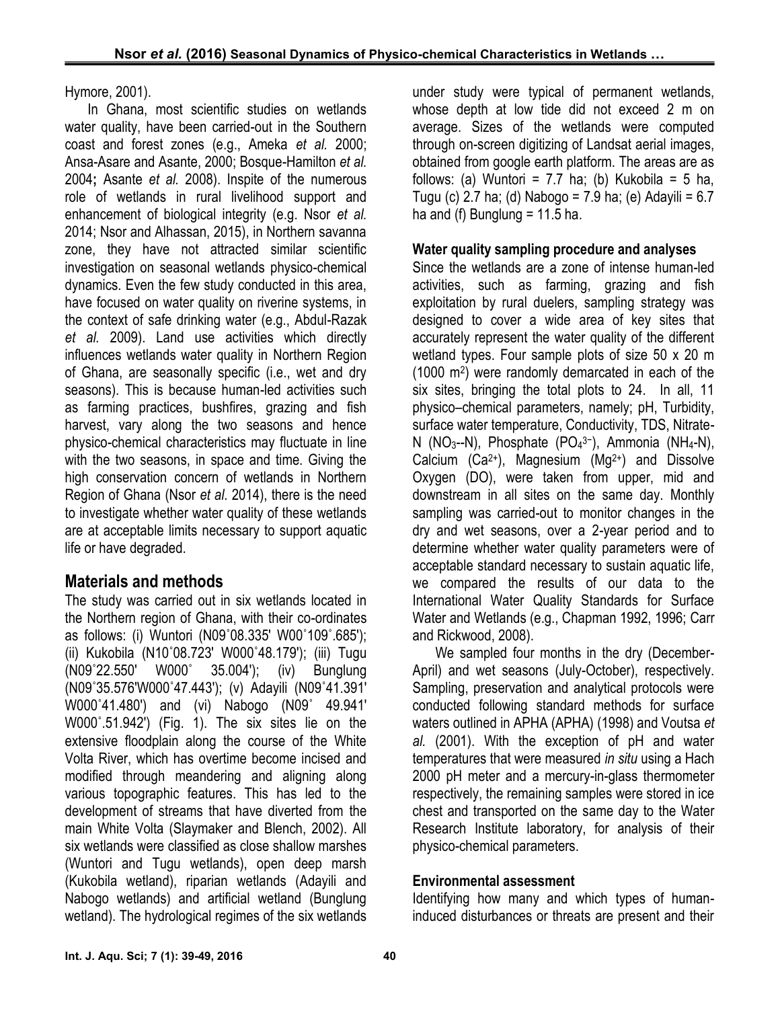Hymore, 2001).

In Ghana, most scientific studies on wetlands water quality, have been carried-out in the Southern coast and forest zones (e.g., Ameka *et al.* 2000; Ansa-Asare and Asante, 2000; Bosque-Hamilton *et al.* 2004**;** Asante *et al.* 2008). Inspite of the numerous role of wetlands in rural livelihood support and enhancement of biological integrity (e.g. Nsor *et al.* 2014; Nsor and Alhassan, 2015), in Northern savanna zone, they have not attracted similar scientific investigation on seasonal wetlands physico-chemical dynamics. Even the few study conducted in this area, have focused on water quality on riverine systems, in the context of safe drinking water (e.g., Abdul-Razak *et al.* 2009). Land use activities which directly influences wetlands water quality in Northern Region of Ghana, are seasonally specific (i.e., wet and dry seasons). This is because human-led activities such as farming practices, bushfires, grazing and fish harvest, vary along the two seasons and hence physico-chemical characteristics may fluctuate in line with the two seasons, in space and time. Giving the high conservation concern of wetlands in Northern Region of Ghana (Nsor *et al*. 2014), there is the need to investigate whether water quality of these wetlands are at acceptable limits necessary to support aquatic life or have degraded.

## **Materials and methods**

The study was carried out in six wetlands located in the Northern region of Ghana, with their co-ordinates as follows: (i) Wuntori (N09˚08.335' W00˚109˚.685'); (ii) Kukobila (N10˚08.723' W000˚48.179'); (iii) Tugu (N09˚22.550' W000˚ 35.004'); (iv) Bunglung (N09˚35.576'W000˚47.443'); (v) Adayili (N09˚41.391' W000˚41.480') and (vi) Nabogo (N09˚ 49.941' W000˚.51.942') (Fig. 1). The six sites lie on the extensive floodplain along the course of the White Volta River, which has overtime become incised and modified through meandering and aligning along various topographic features. This has led to the development of streams that have diverted from the main White Volta (Slaymaker and Blench, 2002). All six wetlands were classified as close shallow marshes (Wuntori and Tugu wetlands), open deep marsh (Kukobila wetland), riparian wetlands (Adayili and Nabogo wetlands) and artificial wetland (Bunglung wetland). The hydrological regimes of the six wetlands

under study were typical of permanent wetlands, whose depth at low tide did not exceed 2 m on average. Sizes of the wetlands were computed through on-screen digitizing of Landsat aerial images, obtained from google earth platform. The areas are as follows: (a) Wuntori = 7.7 ha; (b) Kukobila = 5 ha, Tugu (c) 2.7 ha; (d) Nabogo = 7.9 ha; (e) Adayili = 6.7 ha and (f) Bunglung  $= 11.5$  ha.

### **Water quality sampling procedure and analyses**

Since the wetlands are a zone of intense human-led activities, such as farming, grazing and fish exploitation by rural duelers, sampling strategy was designed to cover a wide area of key sites that accurately represent the water quality of the different wetland types. Four sample plots of size 50 x 20 m (1000 m<sup>2</sup> ) were randomly demarcated in each of the six sites, bringing the total plots to 24. In all, 11 physico–chemical parameters, namely; pH, Turbidity, surface water temperature, Conductivity, TDS, Nitrate- N (NO<sub>3</sub>--N), Phosphate (PO<sub>4</sub>3−), Ammonia (NH<sub>4</sub>-N), Calcium  $(Ca^{2+})$ , Magnesium  $(Mg^{2+})$  and Dissolve Oxygen (DO), were taken from upper, mid and downstream in all sites on the same day. Monthly sampling was carried-out to monitor changes in the dry and wet seasons, over a 2-year period and to determine whether water quality parameters were of acceptable standard necessary to sustain aquatic life, we compared the results of our data to the International Water Quality Standards for Surface Water and Wetlands (e.g., Chapman 1992, 1996; Carr and Rickwood, 2008).

We sampled four months in the dry (December- April) and wet seasons (July-October), respectively. Sampling, preservation and analytical protocols were conducted following standard methods for surface waters outlined in APHA (APHA) (1998) and Voutsa *et al.* (2001). With the exception of pH and water temperatures that were measured *in situ* using a Hach 2000 pH meter and a mercury-in-glass thermometer respectively, the remaining samples were stored in ice chest and transported on the same day to the Water Research Institute laboratory, for analysis of their physico-chemical parameters.

### **Environmental assessment**

Identifying how many and which types of humaninduced disturbances or threats are present and their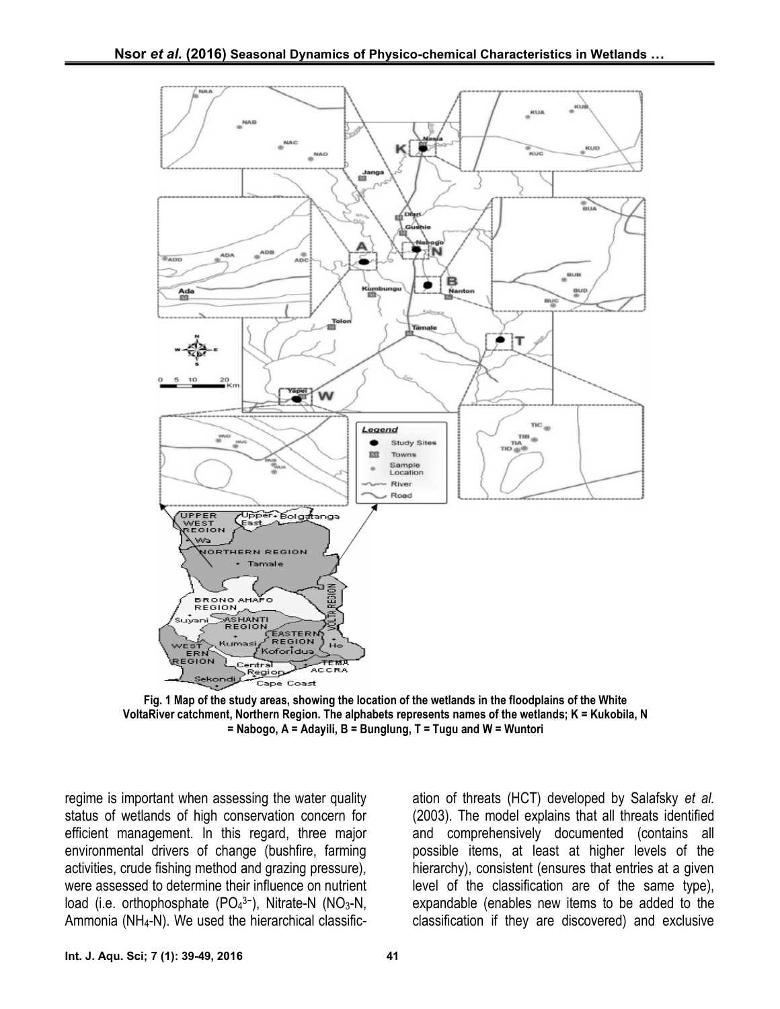

**Fig. 1 Map of the study areas, showing the location of the wetlands in the floodplains of the White VoltaRiver catchment, Northern Region. The alphabets represents names of the wetlands; K = Kukobila, N = Nabogo, A = Adayili, B = Bunglung, T = Tugu and W = Wuntori**

regime is important when assessing the water quality status of wetlands of high conservation concern for efficient management. In this regard, three major environmental drivers of change (bushfire, farming activities, crude fishing method and grazing pressure)*,* were assessed to determine their influence on nutrient load (i.e. orthophosphate (PO<sub>4</sub>3−), Nitrate-N (NO<sub>3</sub>-N, Ammonia (NH<sub>4</sub>-N). We used the hierarchical classification of threats (HCT) developed by Salafsky *et al.* (2003). The model explains that all threats identified and comprehensively documented (contains all possible items, at least at higher levels of the hierarchy), consistent (ensures that entries at a given level of the classification are of the same type), expandable (enables new items to be added to the classification if they are discovered) and exclusive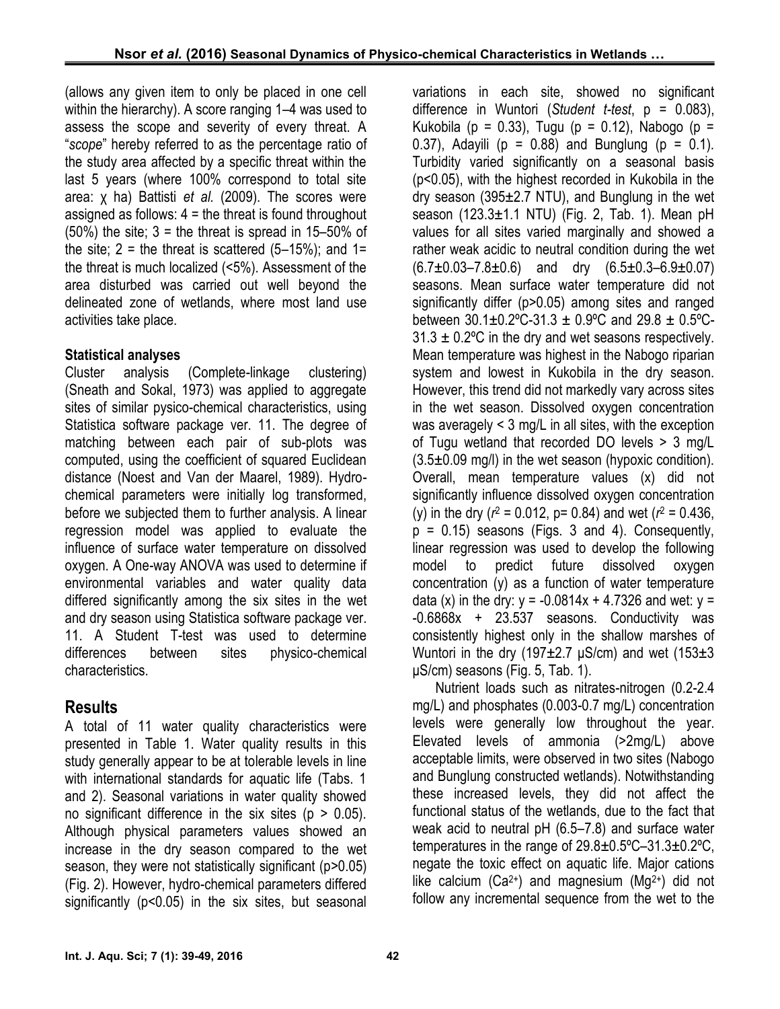(allows any given item to only be placed in one cell within the hierarchy). A score ranging 1–4 was used to assess the scope and severity of every threat. A "*scope*" hereby referred to as the percentage ratio of the study area affected by a specific threat within the last 5 years (where 100% correspond to total site area: χ ha) Battisti *et al.* (2009). The scores were assigned as follows:  $4 =$  the threat is found throughout  $(50\%)$  the site;  $3 =$  the threat is spread in 15–50% of the site;  $2 =$  the threat is scattered (5-15%); and 1= the threat is much localized (<5%). Assessment of the area disturbed was carried out well beyond the delineated zone of wetlands, where most land use activities take place.

### **Statistical analyses**

Cluster analysis (Complete-linkage clustering) (Sneath and Sokal, 1973) was applied to aggregate sites of similar pysico-chemical characteristics, using Statistica software package ver. 11. The degree of matching between each pair of sub-plots was computed, using the coefficient of squared Euclidean distance (Noest and Van der Maarel, 1989). Hydro chemical parameters were initially log transformed, before we subjected them to further analysis. A linear regression model was applied to evaluate the influence of surface water temperature on dissolved oxygen. A One-way ANOVA was used to determine if environmental variables and water quality data differed significantly among the six sites in the wet and dry season using Statistica software package ver. 11. A Student T-test was used to determine differences between sites physico-chemical characteristics.

# **Results**

A total of 11 water quality characteristics were presented in Table 1. Water quality results in this study generally appear to be at tolerable levels in line with international standards for aquatic life (Tabs. 1 and 2). Seasonal variations in water quality showed no significant difference in the six sites ( $p > 0.05$ ). Although physical parameters values showed an increase in the dry season compared to the wet season, they were not statistically significant (p*>*0.05) (Fig. 2). However, hydro-chemical parameters differed significantly (p<0.05) in the six sites, but seasonal variations in each site, showed no significant difference in Wuntori (*Student t-test*, p = 0.083), Kukobila (p = 0.33), Tugu (p = 0.12), Nabogo (p = 0.37), Adayili ( $p = 0.88$ ) and Bunglung ( $p = 0.1$ ). Turbidity varied significantly on a seasonal basis (p<0.05), with the highest recorded in Kukobila in the dry season (395±2.7 NTU), and Bunglung in the wet season (123.3±1.1 NTU) (Fig. 2, Tab. 1). Mean pH values for all sites varied marginally and showed a rather weak acidic to neutral condition during the wet  $(6.7\pm0.03-7.8\pm0.6)$  and dry  $(6.5\pm0.3-6.9\pm0.07)$ seasons. Mean surface water temperature did not significantly differ (p>0.05) among sites and ranged between  $30.1 \pm 0.2$ °C-31.3  $\pm$  0.9°C and 29.8  $\pm$  0.5°C- $31.3 \pm 0.2$  °C in the dry and wet seasons respectively. Mean temperature was highest in the Nabogo riparian system and lowest in Kukobila in the dry season. However, this trend did not markedly vary across sites in the wet season. Dissolved oxygen concentration was averagely < 3 mg/L in all sites, with the exception of Tugu wetland that recorded DO levels > 3 mg/L  $(3.5\pm0.09 \text{ mg/l})$  in the wet season (hypoxic condition). Overall, mean temperature values (x) did not significantly influence dissolved oxygen concentration (y) in the dry (*r*<sup>2</sup> = 0.012, p= 0.84) and wet (*r*<sup>2</sup> = 0.436,  $p = 0.15$ ) seasons (Figs. 3 and 4). Consequently, linear regression was used to develop the following model to predict future dissolved oxygen concentration (y) as a function of water temperature data (x) in the dry:  $y = -0.0814x + 4.7326$  and wet:  $y =$ -0.6868x + 23.537 seasons. Conductivity was consistently highest only in the shallow marshes of Wuntori in the dry (197 $\pm$ 2.7 µS/cm) and wet (153 $\pm$ 3 μS/cm) seasons (Fig. 5, Tab. 1).

Nutrient loads such as nitrates-nitrogen (0.2-2.4 mg/L) and phosphates (0.003-0.7 mg/L) concentration levels were generally low throughout the year. Elevated levels of ammonia (>2mg/L) above acceptable limits, were observed in two sites (Nabogo and Bunglung constructed wetlands). Notwithstanding these increased levels, they did not affect the functional status of the wetlands, due to the fact that weak acid to neutral pH (6.5–7.8) and surface water temperatures in the range of 29.8±0.5ºC–31.3±0.2ºC, negate the toxic effect on aquatic life. Major cations like calcium (Ca<sup>2+</sup>) and magnesium (Mg<sup>2+</sup>) did not follow any incremental sequence from the wet to the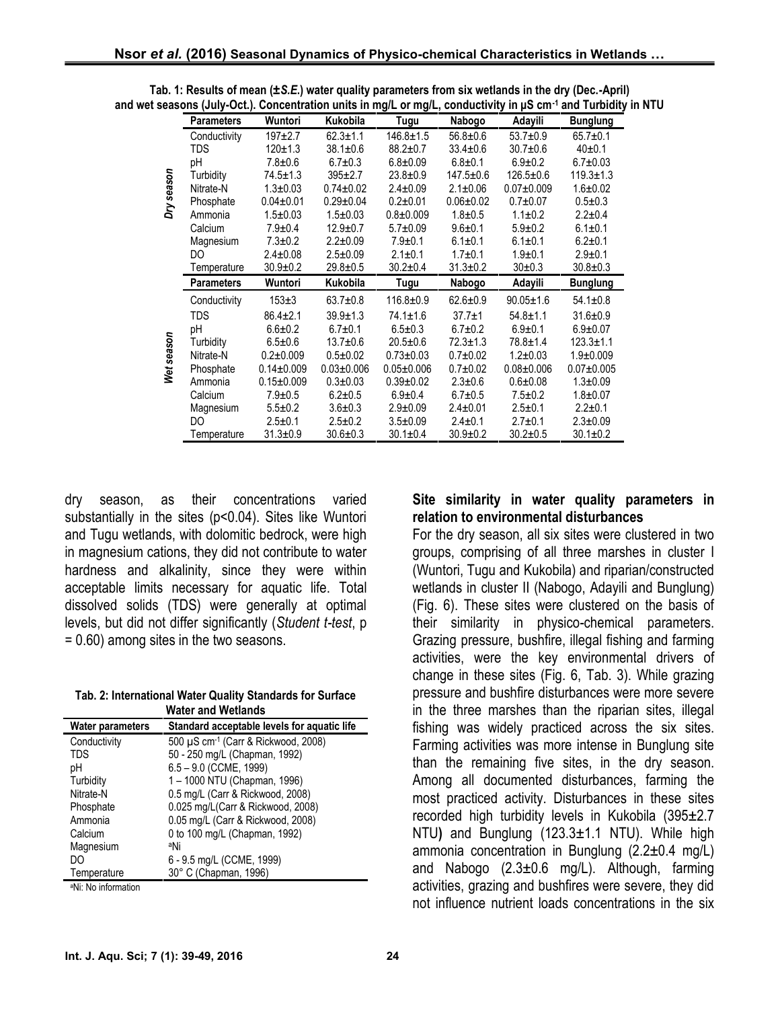|            | <b>Parameters</b> | Wuntori                         | Kukobila                        | Tugu             | Nabogo          | Adayili          | <b>Bunglung</b> |
|------------|-------------------|---------------------------------|---------------------------------|------------------|-----------------|------------------|-----------------|
|            | Conductivity      | $197+2.7$                       | $62.3 \pm 1.1$                  | $146.8 \pm 1.5$  | $56.8 \pm 0.6$  | $53.7 \pm 0.9$   | $65.7 \pm 0.1$  |
|            | TDS               | $120 \pm 1.3$                   | $38.1 \pm 0.6$                  | $88.2 \pm 0.7$   | $33.4 \pm 0.6$  | $30.7 \pm 0.6$   | $40+0.1$        |
|            | pH                | $7.8 + 0.6$                     | $6.7 \pm 0.3$                   | $6.8 \pm 0.09$   | $6.8 + 0.1$     | $6.9 \pm 0.2$    | $6.7 \pm 0.03$  |
| Dry season | Turbidity         | $74.5 \pm 1.3$                  | $395 \pm 2.7$                   | $23.8 \pm 0.9$   | $147.5 \pm 0.6$ | $126.5 \pm 0.6$  | $119.3 \pm 1.3$ |
|            | Nitrate-N         | $1.3 \pm 0.03$                  | $0.74 \pm 0.02$                 | $2.4 \pm 0.09$   | $2.1 \pm 0.06$  | $0.07 + 0.009$   | $1.6 + 0.02$    |
|            | Phosphate         | $0.04 \pm 0.01$                 | $0.29 \pm 0.04$                 | $0.2 \pm 0.01$   | $0.06 \pm 0.02$ | $0.7 + 0.07$     | $0.5 + 0.3$     |
|            | Ammonia           | $1.5 \pm 0.03$                  | $1.5 \pm 0.03$                  | $0.8 + 0.009$    | $1.8 + 0.5$     | $1.1 \pm 0.2$    | $2.2 \pm 0.4$   |
|            | Calcium           | $7.9 \pm 0.4$                   | $12.9 \pm 0.7$                  | $5.7 \pm 0.09$   | $9.6 + 0.1$     | $5.9 + 0.2$      | $6.1 \pm 0.1$   |
|            | Magnesium         | $7.3 \pm 0.2$                   | $2.2 \pm 0.09$                  | $7.9 + 0.1$      | $6.1 \pm 0.1$   | $6.1 \pm 0.1$    | $6.2 + 0.1$     |
|            | DO.               | $2.4 \pm 0.08$                  | $2.5 \pm 0.09$                  | $2.1 \pm 0.1$    | $1.7 \pm 0.1$   | $1.9 + 0.1$      | $2.9 + 0.1$     |
|            | Temperature       | $30.9 \pm 0.2$                  | $29.8 \pm 0.5$                  | $30.2 \pm 0.4$   | $31.3 \pm 0.2$  | $30+0.3$         | $30.8 \pm 0.3$  |
|            |                   |                                 |                                 |                  |                 |                  |                 |
|            | <b>Parameters</b> | Wuntori                         | <b>Kukobila</b>                 | Tugu             | Nabogo          | Adayili          | <b>Bunglung</b> |
|            | Conductivity      | $153 \pm 3$                     | $63.7 \pm 0.8$                  | $116.8 + 0.9$    | $62.6 \pm 0.9$  | $90.05 \pm 1.6$  | $54.1 \pm 0.8$  |
|            | TDS               | $86.4 \pm 2.1$                  | $39.9 \pm 1.3$                  | $74.1 \pm 1.6$   | $37.7 \pm 1$    | $54.8 \pm 1.1$   | $31.6 \pm 0.9$  |
|            | pH                | $6.6 \pm 0.2$                   | $6.7 \pm 0.1$                   | $6.5 \pm 0.3$    | $6.7 \pm 0.2$   | $6.9 \pm 0.1$    | $6.9 + 0.07$    |
|            | Turbidity         | $6.5 \pm 0.6$                   | $13.7 \pm 0.6$                  | $20.5 \pm 0.6$   | $72.3 \pm 1.3$  | 78.8±1.4         | $123.3 + 1.1$   |
|            | Nitrate-N         | $0.2 \pm 0.009$                 | $0.5 + 0.02$                    | $0.73 \pm 0.03$  | $0.7 + 0.02$    | $1.2 \pm 0.03$   | $1.9 + 0.009$   |
|            | Phosphate         | $0.14 \pm 0.009$                | $0.03 \pm 0.006$                | $0.05 \pm 0.006$ | $0.7 + 0.02$    | $0.08 \pm 0.006$ | $0.07 + 0.005$  |
| Wet season | Ammonia           | $0.15 \pm 0.009$                | $0.3 + 0.03$                    | $0.39 \pm 0.02$  | $2.3 \pm 0.6$   | $0.6 + 0.08$     | $1.3 \pm 0.09$  |
|            | Calcium           | $7.9 \pm 0.5$                   | $6.2 \pm 0.5$                   | $6.9 \pm 0.4$    | $6.7 \pm 0.5$   | $7.5 \pm 0.2$    | $1.8 \pm 0.07$  |
|            | Magnesium         | $5.5 \pm 0.2$                   | $3.6 \pm 0.3$                   | $2.9 \pm 0.09$   | $2.4 \pm 0.01$  | $2.5 \pm 0.1$    | $2.2 \pm 0.1$   |
|            | DO                | $2.5 \pm 0.1$<br>$31.3 \pm 0.9$ | $2.5 \pm 0.2$<br>$30.6 \pm 0.3$ | $3.5 \pm 0.09$   | $2.4 \pm 0.1$   | $2.7 \pm 0.1$    | $2.3 \pm 0.09$  |

**Tab. 1: Results of mean (±***S.E***.) water quality parameters from six wetlands in the dry (Dec.-April) and wet seasons (July-Oct.). Concentration units in mg/L or mg/L, conductivity in μS cm-1 and Turbidity in NTU**

dry season, as their concentrations varied substantially in the sites (p<0.04). Sites like Wuntori and Tugu wetlands, with dolomitic bedrock, were high in magnesium cations, they did not contribute to water hardness and alkalinity, since they were within acceptable limits necessary for aquatic life. Total dissolved solids (TDS) were generally at optimal levels, but did not differ significantly (*Student t-test*, p = 0.60) among sites in the two seasons.

**Tab. 2: International Water Quality Standards for Surface Water and Wetlands**

| <b>Water parameters</b> | Standard acceptable levels for aquatic life |
|-------------------------|---------------------------------------------|
| Conductivity            | 500 µS cm-1 (Carr & Rickwood, 2008)         |
| <b>TDS</b>              | 50 - 250 mg/L (Chapman, 1992)               |
| рH                      | 6.5 - 9.0 (CCME, 1999)                      |
| Turbidity               | 1-1000 NTU (Chapman, 1996)                  |
| Nitrate-N               | 0.5 mg/L (Carr & Rickwood, 2008)            |
| Phosphate               | 0.025 mg/L(Carr & Rickwood, 2008)           |
| Ammonia                 | 0.05 mg/L (Carr & Rickwood, 2008)           |
| Calcium                 | 0 to 100 mg/L (Chapman, 1992)               |
| Magnesium               | aNi                                         |
| DO                      | 6 - 9.5 mg/L (CCME, 1999)                   |
| Temperature             | 30° C (Chapman, 1996)                       |

<sup>a</sup>Ni: No information

#### **Site similarity in water quality parameters in relation to environmental disturbances**

For the dry season, all six sites were clustered in two groups, comprising of all three marshes in cluster I (Wuntori, Tugu and Kukobila) and riparian/constructed wetlands in cluster II (Nabogo, Adayili and Bunglung) (Fig. 6). These sites were clustered on the basis of their similarity in physico-chemical parameters. Grazing pressure, bushfire, illegal fishing and farming activities, were the key environmental drivers of change in these sites (Fig. 6, Tab. 3). While grazing pressure and bushfire disturbances were more severe in the three marshes than the riparian sites, illegal fishing was widely practiced across the six sites. Farming activities was more intense in Bunglung site than the remaining five sites, in the dry season. Among all documented disturbances, farming the most practiced activity. Disturbances in these sites recorded high turbidity levels in Kukobila (395±2.7 NTU**)** and Bunglung (123.3±1.1 NTU). While high ammonia concentration in Bunglung (2.2±0.4 mg/L) and Nabogo  $(2.3\pm0.6 \text{ mg/L})$ . Although, farming activities, grazing and bushfires were severe, they did not influence nutrient loads concentrations in the six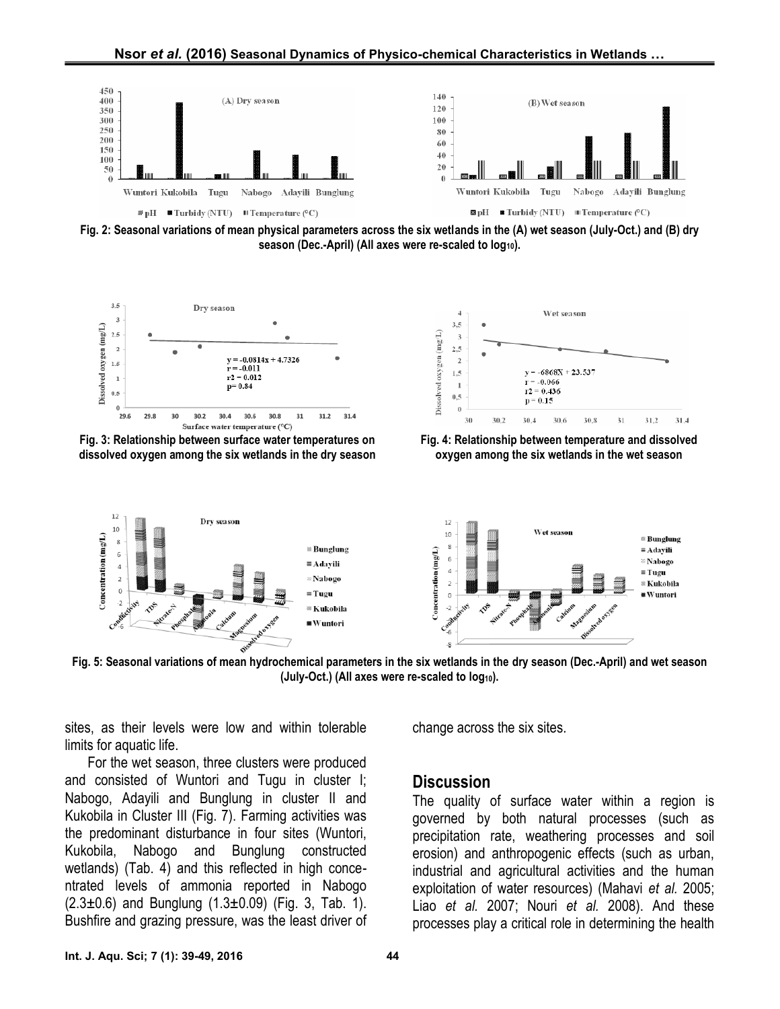

**Fig. 2: Seasonal variations of mean physical parameters across the six wetlands in the (A)wet season (July-Oct.) and (B) dry season (Dec.-April) (All axes were re-scaled to log10).**



**Fig. 3: Relationship between surface water temperatures on dissolved oxygen among the six wetlands in the dry season**



**Fig. 4: Relationship between temperature and dissolved oxygen among the six wetlands in the wet season**



**Fig. 5: Seasonal variations of mean hydrochemical parameters in the six wetlands in the dry season (Dec.-April) and wet season (July-Oct.) (All axes were re-scaled to log10).**

sites, as their levels were low and within tolerable limits for aquatic life.

For the wet season, three clusters were produced and consisted of Wuntori and Tugu in cluster I; Nabogo, Adayili and Bunglung in cluster II and Kukobila in Cluster III (Fig. 7). Farming activities was the predominant disturbance in four sites (Wuntori, Kukobila, Nabogo and Bunglung constructed wetlands) (Tab. 4) and this reflected in high conce ntrated levels of ammonia reported in Nabogo  $(2.3\pm0.6)$  and Bunglung  $(1.3\pm0.09)$  (Fig. 3, Tab. 1). Bushfire and grazing pressure, was the least driver of change across the six sites.

#### **Discussion**

The quality of surface water within a region is governed by both natural processes (such as precipitation rate, weathering processes and soil erosion) and anthropogenic effects (such as urban, industrial and agricultural activities and the human exploitation of water resources) (Mahavi *et al.* 2005; Liao *et al.* 2007; Nouri *et al.* 2008). And these processes play a critical role in determining the health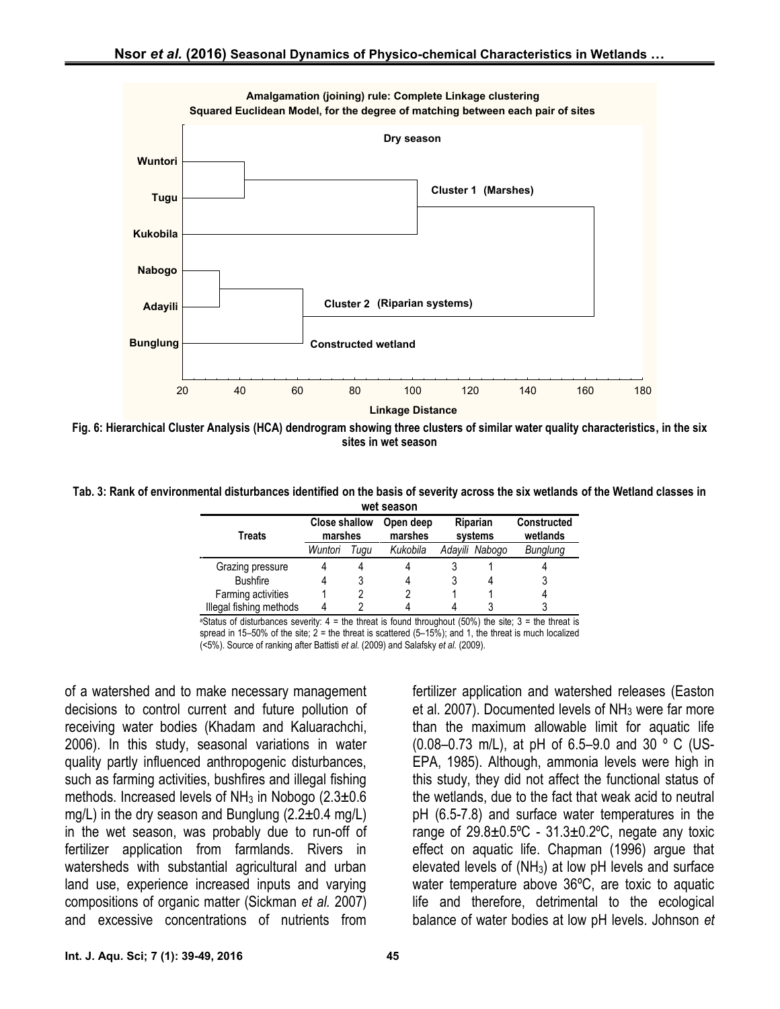

**Fig. 6: Hierarchical Cluster Analysis (HCA) dendrogram showing three clusters of similar water quality characteristics, in the six sites in wet season**

**Tab. 3: Rank of environmental disturbances identified on the basis of severity across the six wetlands of the Wetland classes in wet season**

| Treats                  | <b>Close shallow</b><br>marshes |      | Open deep<br>marshes | Riparian<br>systems |                | <b>Constructed</b><br>wetlands |
|-------------------------|---------------------------------|------|----------------------|---------------------|----------------|--------------------------------|
|                         | Wuntori                         | Tuau | Kukobila             |                     | Adayili Nabogo | Bunglung                       |
| Grazing pressure        | 4                               |      |                      |                     |                |                                |
| <b>Bushfire</b>         | 4                               |      |                      |                     | 4              |                                |
| Farming activities      |                                 |      |                      |                     |                |                                |
| Illegal fishing methods | 4                               |      |                      |                     |                |                                |

<sup>a</sup>Status of disturbances severity:  $4 =$  the threat is found throughout (50%) the site;  $3 =$  the threat is spread in 15–50% of the site;  $2 =$  the threat is scattered  $(5-15%)$ ; and 1, the threat is much localized (<5%). Source of ranking after Battisti *et al.* (2009) and Salafsky *et al.* (2009).

of a watershed and to make necessary management decisions to control current and future pollution of receiving water bodies (Khadam and Kaluarachchi, 2006). In this study, seasonal variations in water quality partly influenced anthropogenic disturbances, such as farming activities, bushfires and illegal fishing methods. Increased levels of  $NH<sub>3</sub>$  in Nobogo (2.3 $\pm$ 0.6 mg/L) in the dry season and Bunglung  $(2.2\pm0.4 \text{ mg/L})$ in the wet season, was probably due to run-off of fertilizer application from farmlands. Rivers in watersheds with substantial agricultural and urban land use, experience increased inputs and varying compositions of organic matter (Sickman *et al.* 2007) and excessive concentrations of nutrients from

fertilizer application and watershed releases (Easton et al. 2007). Documented levels of  $NH<sub>3</sub>$  were far more than the maximum allowable limit for aquatic life (0.08–0.73 m/L), at pH of 6.5–9.0 and 30 º C (US- EPA, 1985). Although, ammonia levels were high in this study, they did not affect the functional status of the wetlands, due to the fact that weak acid to neutral pH (6.5-7.8) and surface water temperatures in the range of  $29.8 \pm 0.5^{\circ}$ C -  $31.3 \pm 0.2^{\circ}$ C, negate any toxic effect on aquatic life. Chapman (1996) argue that elevated levels of  $(NH_3)$  at low pH levels and surface water temperature above 36ºC, are toxic to aquatic life and therefore, detrimental to the ecological balance of water bodies at low pH levels. Johnson *et*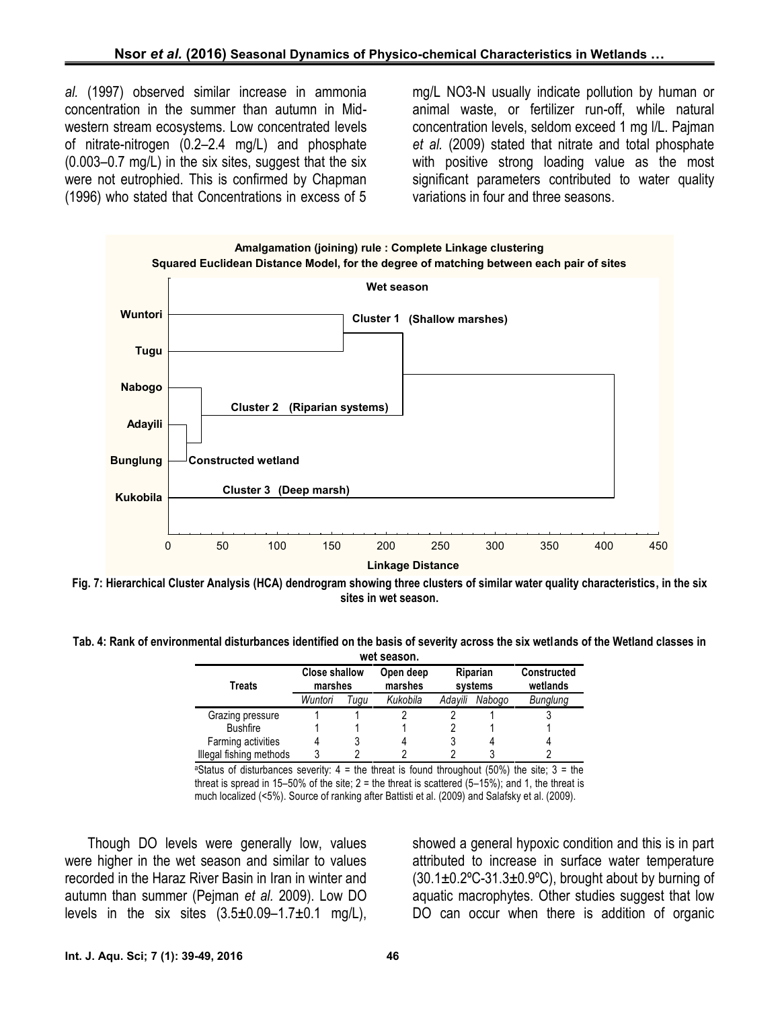*al.* (1997) observed similar increase in ammonia concentration in the summer than autumn in Mid western stream ecosystems. Low concentrated levels of nitrate-nitrogen (0.2–2.4 mg/L) and phosphate (0.003–0.7 mg/L) in the six sites, suggest that the six were not eutrophied. This is confirmed by Chapman (1996) who stated that Concentrations in excess of 5

mg/L NO3-N usually indicate pollution by human or animal waste, or fertilizer run-off, while natural concentration levels, seldom exceed 1 mg l/L. Pajman *et al.* (2009) stated that nitrate and total phosphate with positive strong loading value as the most significant parameters contributed to water quality variations in four and three seasons.





**Tab. 4: Rank of environmental disturbances identified on the basis of severity across the six wetlands of the Wetland classes in wet season.**

| Treats                  | <b>Close shallow</b><br>marshes |      | Open deep<br>marshes | Riparian<br>systems |        | <b>Constructed</b><br>wetlands |
|-------------------------|---------------------------------|------|----------------------|---------------------|--------|--------------------------------|
|                         | Wuntori                         | Tugu | Kukobila             | Adavili             | Nabogo | Bunglung                       |
| Grazing pressure        |                                 |      |                      |                     |        |                                |
| <b>Bushfire</b>         |                                 |      |                      |                     |        |                                |
| Farming activities      |                                 |      |                      |                     | 4      |                                |
| Illegal fishing methods |                                 |      |                      |                     |        |                                |

<sup>a</sup>Status of disturbances severity:  $4 =$  the threat is found throughout (50%) the site;  $3 =$  the threat is spread in 15–50% of the site;  $2 =$  the threat is scattered (5–15%); and 1, the threat is much localized (<5%). Source of ranking after Battisti et al. (2009) and Salafsky et al. (2009).

Though DO levels were generally low, values were higher in the wet season and similar to values recorded in the Haraz River Basin in Iran in winter and autumn than summer (Pejman *et al.* 2009). Low DO levels in the six sites  $(3.5\pm0.09-1.7\pm0.1 \text{ mg/L})$ ,

showed a general hypoxic condition and this is in part attributed to increase in surface water temperature  $(30.1\pm0.2^{\circ}C-31.3\pm0.9^{\circ}C)$ , brought about by burning of aquatic macrophytes. Other studies suggest that low DO can occur when there is addition of organic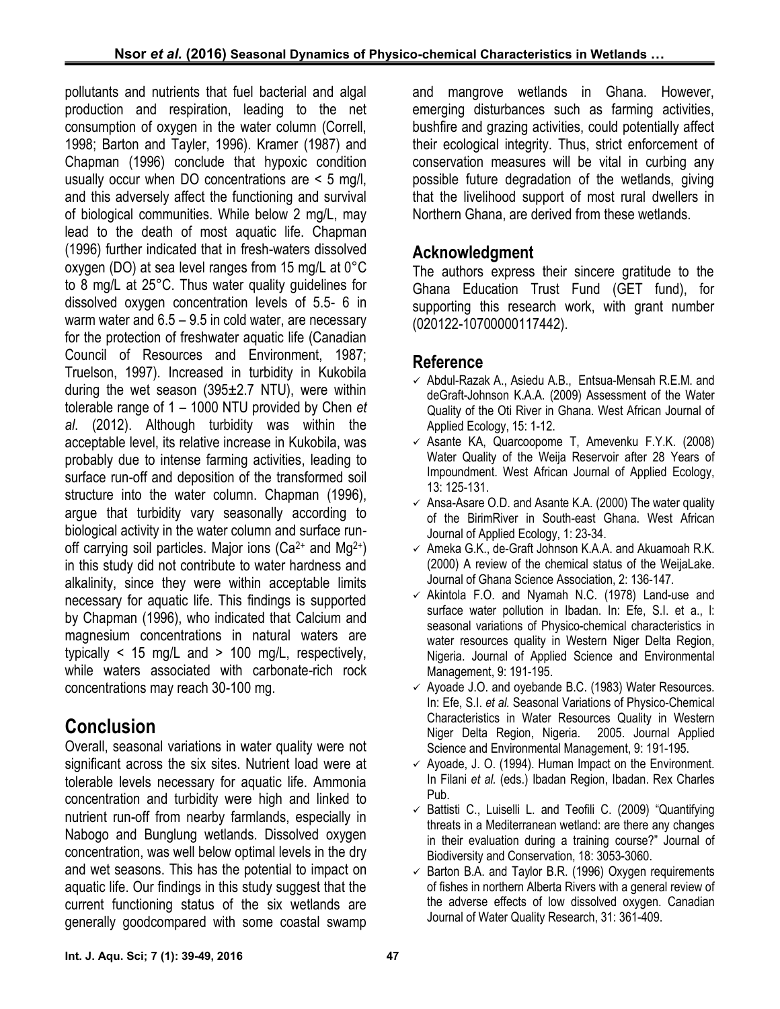pollutants and nutrients that fuel bacterial and algal production and respiration, leading to the net consumption of oxygen in the water column (Correll, 1998; Barton and Tayler, 1996). Kramer (1987) and Chapman (1996) conclude that hypoxic condition usually occur when DO concentrations are < 5 mg/l, and this adversely affect the functioning and survival of biological communities. While below 2 mg/L, may lead to the death of most aquatic life. Chapman (1996) further indicated that in fresh-waters dissolved oxygen (DO) at sea level ranges from 15 mg/L at 0°C to 8 mg/L at 25°C. Thus water quality guidelines for dissolved oxygen concentration levels of 5.5- 6 in warm water and 6.5 – 9.5 in cold water, are necessary for the protection of freshwater aquatic life (Canadian Council of Resources and Environment, 1987; Truelson, 1997). Increased in turbidity in Kukobila during the wet season  $(395\pm2.7 \text{ NTU})$ , were within tolerable range of 1 – 1000 NTU provided by Chen *et al*. (2012). Although turbidity was within the acceptable level, its relative increase in Kukobila, was probably due to intense farming activities, leading to surface run-off and deposition of the transformed soil structure into the water column. Chapman (1996), argue that turbidity vary seasonally according to biological activity in the water column and surface run off carrying soil particles. Major ions  $(Ca^{2+}$  and  $Mg^{2+})$ in this study did not contribute to water hardness and alkalinity, since they were within acceptable limits necessary for aquatic life. This findings is supported by Chapman (1996), who indicated that Calcium and magnesium concentrations in natural waters are typically  $\lt$  15 mg/L and  $>$  100 mg/L, respectively, while waters associated with carbonate-rich rock concentrations may reach 30-100 mg.

# **Conclusion**

Overall, seasonal variations in water quality were not significant across the six sites. Nutrient load were at tolerable levels necessary for aquatic life. Ammonia concentration and turbidity were high and linked to nutrient run-off from nearby farmlands, especially in Nabogo and Bunglung wetlands. Dissolved oxygen concentration, was well below optimal levels in the dry and wet seasons. This has the potential to impact on aquatic life. Our findings in this study suggest that the current functioning status of the six wetlands are generally goodcompared with some coastal swamp

and mangrove wetlands in Ghana. However, emerging disturbances such as farming activities, bushfire and grazing activities, could potentially affect their ecological integrity. Thus, strict enforcement of conservation measures will be vital in curbing any possible future degradation of the wetlands, giving that the livelihood support of most rural dwellers in Northern Ghana, are derived from these wetlands.

## **Acknowledgment**

The authors express their sincere gratitude to the Ghana Education Trust Fund (GET fund), for supporting this research work, with grant number (020122-10700000117442).

### **Reference**

- $\checkmark$  Abdul-Razak A., Asiedu A.B., Entsua-Mensah R.E.M. and deGraft-Johnson K.A.A. (2009) Assessment of the Water Quality of the Oti River in Ghana. West African Journal of Applied Ecology, 15: 1-12.
- $\times$  Asante KA, Quarcoopome T, Amevenku F.Y.K. (2008) Water Quality of the Weija Reservoir after 28 Years of Impoundment. West African Journal of Applied Ecology, 13: 125-131.
- $\checkmark$  Ansa-Asare O.D. and Asante K.A. (2000) The water quality of the BirimRiver in South-east Ghana. West African Journal of Applied Ecology, 1: 23-34.
- $\checkmark$  Ameka G.K., de-Graft Johnson K.A.A. and Akuamoah R.K. (2000) A review of the chemical status of the WeijaLake. Journal of Ghana Science Association, 2: 136-147.
- $\checkmark$  Akintola F.O. and Nyamah N.C. (1978) Land-use and surface water pollution in Ibadan. In: Efe, S.I. et a., l: seasonal variations of Physico-chemical characteristics in water resources quality in Western Niger Delta Region, Nigeria. Journal of Applied Science and Environmental Management, 9: 191-195.
- $\checkmark$  Ayoade J.O. and oyebande B.C. (1983) Water Resources. In: Efe, S.I. *et al.* Seasonal Variations of Physico-Chemical Characteristics in Water Resources Quality in Western Niger Delta Region, Nigeria. 2005. Journal Applied Science and Environmental Management, 9: 191-195.
- $\checkmark$  Ayoade, J. O. (1994). Human Impact on the Environment. In Filani *et al.* (eds.) Ibadan Region, Ibadan. Rex Charles Pub.
- $\checkmark$  Battisti C., Luiselli L. and Teofili C. (2009) "Quantifying threats in a Mediterranean wetland: are there any changes in their evaluation during a training course?" Journal of Biodiversity and Conservation, 18: 3053-3060.
- $\checkmark$  Barton B.A. and Taylor B.R. (1996) Oxygen requirements of fishes in northern Alberta Rivers with a general review of the adverse effects of low dissolved oxygen. Canadian Journal of Water Quality Research, 31: 361-409.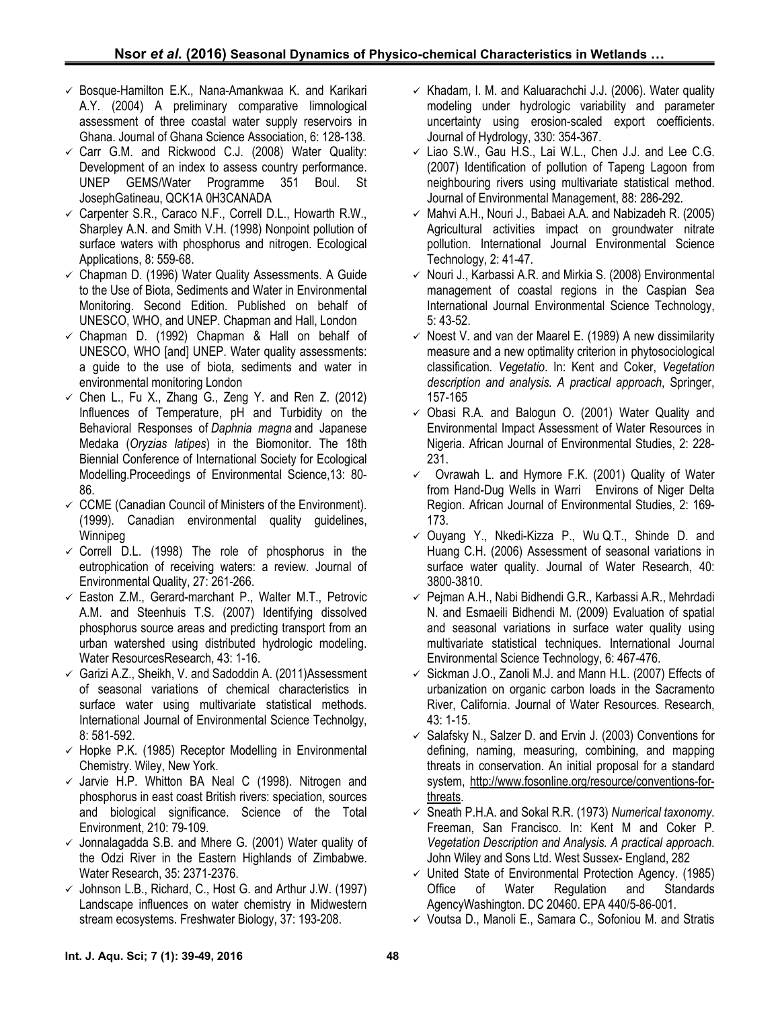- $\checkmark$  Bosque-Hamilton E.K., Nana-Amankwaa K. and Karikari A.Y. (2004) A preliminary comparative limnological assessment of three coastal water supply reservoirs in Ghana. Journal of Ghana Science Association, 6: 128-138.
- $\checkmark$  Carr G.M. and Rickwood C.J. (2008) Water Quality: Development of an index to assess country performance. UNEP GEMS/Water Programme 351 Boul. St JosephGatineau, QCK1A 0H3CANADA
- $\checkmark$  Carpenter S.R., Caraco N.F., Correll D.L., Howarth R.W., Sharpley A.N. and Smith V.H. (1998) Nonpoint pollution of surface waters with phosphorus and nitrogen. Ecological Applications, 8: 559-68.
- $\checkmark$  Chapman D. (1996) Water Quality Assessments. A Guide to the Use of Biota, Sediments and Water in Environmental Monitoring. Second Edition. Published on behalf of UNESCO, WHO, and UNEP. Chapman and Hall, London
- $\checkmark$  Chapman D. (1992) Chapman & Hall on behalf of UNESCO, WHO [and] UNEP. Water quality assessments: a guide to the use of biota, sediments and water in environmental monitoring London
- $\checkmark$  Chen L., Fu X., Zhang G., Zeng Y. and Ren Z. (2012) Influences of Temperature, pH and Turbidity on the Behavioral Responses of *Daphnia magna* and Japanese Medaka (*Oryzias latipes*) in the Biomonitor. The 18th Biennial Conference of International Society for Ecological Modelling.Proceedings of Environmental Science,13: 80- 86.
- $\checkmark$  CCME (Canadian Council of Ministers of the Environment). (1999). Canadian environmental quality guidelines, Winnipeg
- $\checkmark$  Correll D.L. (1998) The role of phosphorus in the eutrophication of receiving waters: a review. Journal of Environmental Quality, 27: 261-266.
- $\checkmark$  Easton Z.M., Gerard-marchant P., Walter M.T., Petrovic A.M. and Steenhuis T.S. (2007) Identifying dissolved phosphorus source areas and predicting transport from an urban watershed using distributed hydrologic modeling. Water ResourcesResearch, 43: 1-16.
- $\checkmark$  Garizi A.Z., Sheikh, V. and Sadoddin A. (2011) Assessment of seasonal variations of chemical characteristics in surface water using multivariate statistical methods. International Journal of Environmental Science Technolgy, 8: 581-592.
- $\checkmark$  Hopke P.K. (1985) Receptor Modelling in Environmental Chemistry. Wiley, New York.
- $\checkmark$  Jarvie H.P. Whitton BA Neal C (1998). Nitrogen and phosphorus in east coast British rivers: speciation, sources and biological significance. Science of the Total Environment, 210: 79-109.
- $\checkmark$  Jonnalagadda S.B. and Mhere G. (2001) Water quality of the Odzi River in the Eastern Highlands of Zimbabwe. Water Research, 35: 2371-2376.
- $\checkmark$  Johnson L.B., Richard, C., Host G. and Arthur J.W. (1997) Landscape influences on water chemistry in Midwestern stream ecosystems. Freshwater Biology, 37: 193-208.
- $\checkmark$  Khadam, I. M. and Kaluarachchi J.J. (2006). Water quality modeling under hydrologic variability and parameter uncertainty using erosion-scaled export coefficients. Journal of Hydrology, 330: 354-367.
- $\checkmark$  Liao S.W., Gau H.S., Lai W.L., Chen J.J. and Lee C.G. (2007) Identification of pollution of Tapeng Lagoon from neighbouring rivers using multivariate statistical method. Journal of Environmental Management, 88: 286-292.
- $\checkmark$  Mahvi A.H., Nouri J., Babaei A.A. and Nabizadeh R. (2005) Agricultural activities impact on groundwater nitrate pollution. International Journal Environmental Science Technology, 2: 41-47.
- $\checkmark$  Nouri J., Karbassi A.R. and Mirkia S. (2008) Environmental management of coastal regions in the Caspian Sea International Journal Environmental Science Technology, 5: 43-52.
- $\checkmark$  Noest V. and van der Maarel E. (1989) A new dissimilarity measure and a new optimality criterion in phytosociological classification*. Vegetatio*. In: Kent and Coker, *Vegetation description and analysis. A practical approach*, Springer, 157-165
- $\checkmark$  Obasi R.A. and Balogun O. (2001) Water Quality and Environmental Impact Assessment of Water Resources in Nigeria. African Journal of Environmental Studies, 2: 228- 231.
- $\checkmark$  Ovrawah L. and Hymore F.K. (2001) Quality of Water from Hand-Dug Wells in Warri Environs of Niger Delta Region. African Journal of Environmental Studies, 2: 169- 173.
- $\checkmark$  Ouyang Y., Nkedi-Kizza P., Wu Q.T., Shinde D. and Huang C.H. (2006) Assessment of seasonal variations in surface water quality. Journal of Water Research, 40: 3800-3810.
- $\checkmark$  Pejman A.H., Nabi Bidhendi G.R., Karbassi A.R., Mehrdadi N. and Esmaeili Bidhendi M. (2009) Evaluation of spatial and seasonal variations in surface water quality using multivariate statistical techniques. International Journal Environmental Science Technology, 6: 467-476.
- $\checkmark$  Sickman J.O., Zanoli M.J. and Mann H.L. (2007) Effects of urbanization on organic carbon loads in the Sacramento River, California. Journal of Water Resources*.* Research, 43: 1-15.
- $\checkmark$  Salafsky N., Salzer D. and Ervin J. (2003) Conventions for defining, naming, measuring, combining, and mapping threats in conservation. An initial proposal for a standard system, http://www.fosonline.org/resource/conventions-forthreats.
- Sneath P.H.A. and Sokal R.R. (1973) *Numerical taxonomy*. Freeman, San Francisco. In: Kent M and Coker P. *Vegetation Description and Analysis. A practical approach*. John Wiley and Sons Ltd. West Sussex- England, 282
- United State of Environmental Protection Agency. (1985) Office of Water Regulation and Standards AgencyWashington. DC 20460. EPA 440/5-86-001.
- $\checkmark$  Voutsa D., Manoli E., Samara C., Sofoniou M. and Stratis